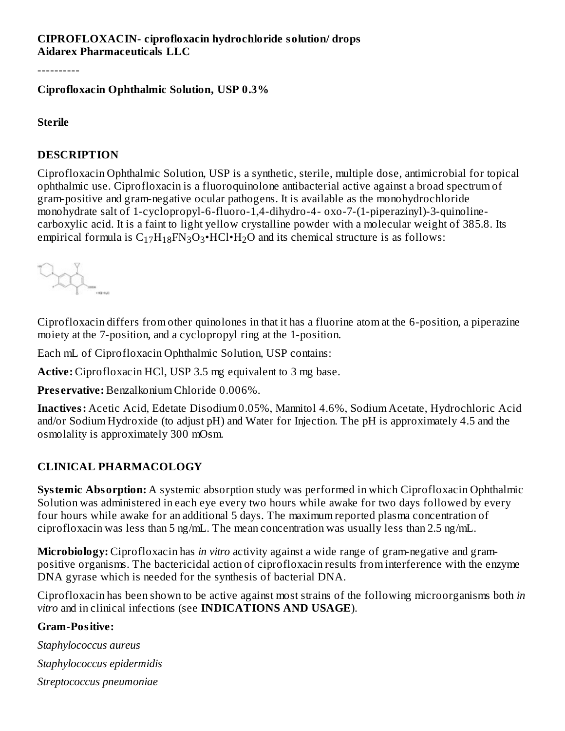#### **CIPROFLOXACIN- ciprofloxacin hydrochloride solution/ drops Aidarex Pharmaceuticals LLC**

----------

**Ciprofloxacin Ophthalmic Solution, USP 0.3%**

**Sterile**

## **DESCRIPTION**

Ciprofloxacin Ophthalmic Solution, USP is a synthetic, sterile, multiple dose, antimicrobial for topical ophthalmic use. Ciprofloxacin is a fluoroquinolone antibacterial active against a broad spectrum of gram-positive and gram-negative ocular pathogens. It is available as the monohydrochloride monohydrate salt of 1-cyclopropyl-6-fluoro-1,4-dihydro-4- oxo-7-(1-piperazinyl)-3-quinolinecarboxylic acid. It is a faint to light yellow crystalline powder with a molecular weight of 385.8. Its empirical formula is  $C_{17}H_{18}FN_3O_3 \cdot HCl \cdot H_2O$  and its chemical structure is as follows:



Ciprofloxacin differs from other quinolones in that it has a fluorine atom at the 6-position, a piperazine moiety at the 7-position, and a cyclopropyl ring at the 1-position.

Each mL of Ciprofloxacin Ophthalmic Solution, USP contains:

**Active:** Ciprofloxacin HCl, USP 3.5 mg equivalent to 3 mg base.

**Pres ervative:** Benzalkonium Chloride 0.006%.

**Inactives:** Acetic Acid, Edetate Disodium 0.05%, Mannitol 4.6%, Sodium Acetate, Hydrochloric Acid and/or Sodium Hydroxide (to adjust pH) and Water for Injection. The pH is approximately 4.5 and the osmolality is approximately 300 mOsm.

## **CLINICAL PHARMACOLOGY**

**Systemic Absorption:** A systemic absorption study was performed in which Ciprofloxacin Ophthalmic Solution was administered in each eye every two hours while awake for two days followed by every four hours while awake for an additional 5 days. The maximum reported plasma concentration of ciprofloxacin was less than 5 ng/mL. The mean concentration was usually less than 2.5 ng/mL.

**Microbiology:** Ciprofloxacin has *in vitro* activity against a wide range of gram-negative and grampositive organisms. The bactericidal action of ciprofloxacin results from interference with the enzyme DNA gyrase which is needed for the synthesis of bacterial DNA.

Ciprofloxacin has been shown to be active against most strains of the following microorganisms both *in vitro* and in clinical infections (see **INDICATIONS AND USAGE**).

### **Gram-Positive:**

*Staphylococcus aureus Staphylococcus epidermidis Streptococcus pneumoniae*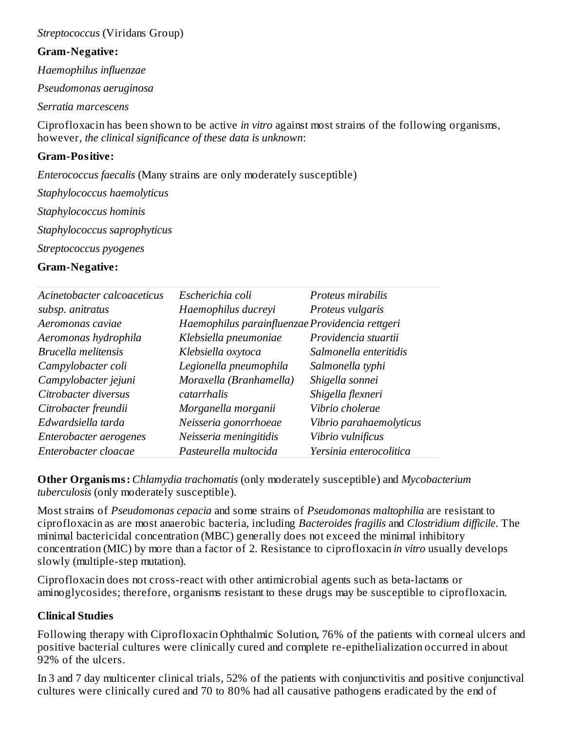#### *Streptococcus* (Viridans Group)

### **Gram-Negative:**

*Haemophilus influenzae*

*Pseudomonas aeruginosa*

*Serratia marcescens*

Ciprofloxacin has been shown to be active *in vitro* against most strains of the following organisms, however, *the clinical significance of these data is unknown*:

### **Gram-Positive:**

*Enterococcus faecalis* (Many strains are only moderately susceptible)

*Staphylococcus haemolyticus*

*Staphylococcus hominis*

*Staphylococcus saprophyticus*

*Streptococcus pyogenes*

### **Gram-Negative:**

| Acinetobacter calcoaceticus | Escherichia coli                                | Proteus mirabilis       |  |  |
|-----------------------------|-------------------------------------------------|-------------------------|--|--|
| subsp. anitratus            | Haemophilus ducreyi                             | Proteus vulgaris        |  |  |
| Aeromonas caviae            | Haemophilus parainfluenzae Providencia rettgeri |                         |  |  |
| Aeromonas hydrophila        | Klebsiella pneumoniae                           | Providencia stuartii    |  |  |
| Brucella melitensis         | Klebsiella oxytoca                              | Salmonella enteritidis  |  |  |
| Campylobacter coli          | Legionella pneumophila                          | Salmonella typhi        |  |  |
| Campylobacter jejuni        | Moraxella (Branhamella)                         | Shigella sonnei         |  |  |
| Citrobacter diversus        | catarrhalis                                     | Shigella flexneri       |  |  |
| Citrobacter freundii        | Morganella morganii                             | Vibrio cholerae         |  |  |
| Edwardsiella tarda          | Neisseria gonorrhoeae                           | Vibrio parahaemolyticus |  |  |
| Enterobacter aerogenes      | Neisseria meningitidis                          | Vibrio vulnificus       |  |  |
| Enterobacter cloacae        | Pasteurella multocida                           | Yersinia enterocolitica |  |  |

**Other Organisms:** *Chlamydia trachomatis* (only moderately susceptible) and *Mycobacterium tuberculosis* (only moderately susceptible).

Most strains of *Pseudomonas cepacia* and some strains of *Pseudomonas maltophilia* are resistant to ciprofloxacin as are most anaerobic bacteria, including *Bacteroides fragilis* and *Clostridium difficile*. The minimal bactericidal concentration (MBC) generally does not exceed the minimal inhibitory concentration (MIC) by more than a factor of 2. Resistance to ciprofloxacin *in vitro* usually develops slowly (multiple-step mutation).

Ciprofloxacin does not cross-react with other antimicrobial agents such as beta-lactams or aminoglycosides; therefore, organisms resistant to these drugs may be susceptible to ciprofloxacin.

## **Clinical Studies**

Following therapy with Ciprofloxacin Ophthalmic Solution, 76% of the patients with corneal ulcers and positive bacterial cultures were clinically cured and complete re-epithelialization occurred in about 92% of the ulcers.

In 3 and 7 day multicenter clinical trials, 52% of the patients with conjunctivitis and positive conjunctival cultures were clinically cured and 70 to 80% had all causative pathogens eradicated by the end of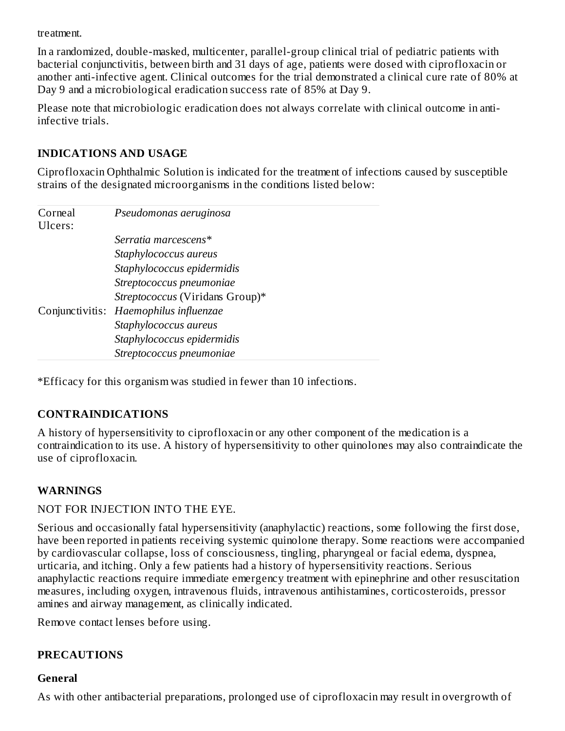treatment.

In a randomized, double-masked, multicenter, parallel-group clinical trial of pediatric patients with bacterial conjunctivitis, between birth and 31 days of age, patients were dosed with ciprofloxacin or another anti-infective agent. Clinical outcomes for the trial demonstrated a clinical cure rate of 80% at Day 9 and a microbiological eradication success rate of 85% at Day 9.

Please note that microbiologic eradication does not always correlate with clinical outcome in antiinfective trials.

### **INDICATIONS AND USAGE**

Ciprofloxacin Ophthalmic Solution is indicated for the treatment of infections caused by susceptible strains of the designated microorganisms in the conditions listed below:

| Corneal<br>Ulcers: | Pseudomonas aeruginosa                 |
|--------------------|----------------------------------------|
|                    | Serratia marcescens*                   |
|                    | Staphylococcus aureus                  |
|                    | Staphylococcus epidermidis             |
|                    | Streptococcus pneumoniae               |
|                    | Streptococcus (Viridans Group)*        |
|                    | Conjunctivitis: Haemophilus influenzae |
|                    | Staphylococcus aureus                  |
|                    | Staphylococcus epidermidis             |
|                    | Streptococcus pneumoniae               |

\*Efficacy for this organism was studied in fewer than 10 infections.

### **CONTRAINDICATIONS**

A history of hypersensitivity to ciprofloxacin or any other component of the medication is a contraindication to its use. A history of hypersensitivity to other quinolones may also contraindicate the use of ciprofloxacin.

### **WARNINGS**

### NOT FOR INJECTION INTO THE EYE.

Serious and occasionally fatal hypersensitivity (anaphylactic) reactions, some following the first dose, have been reported in patients receiving systemic quinolone therapy. Some reactions were accompanied by cardiovascular collapse, loss of consciousness, tingling, pharyngeal or facial edema, dyspnea, urticaria, and itching. Only a few patients had a history of hypersensitivity reactions. Serious anaphylactic reactions require immediate emergency treatment with epinephrine and other resuscitation measures, including oxygen, intravenous fluids, intravenous antihistamines, corticosteroids, pressor amines and airway management, as clinically indicated.

Remove contact lenses before using.

### **PRECAUTIONS**

### **General**

As with other antibacterial preparations, prolonged use of ciprofloxacin may result in overgrowth of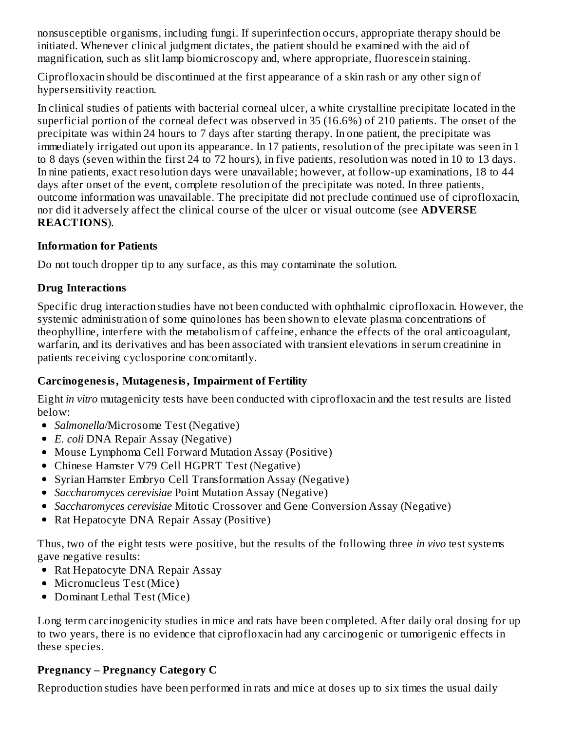nonsusceptible organisms, including fungi. If superinfection occurs, appropriate therapy should be initiated. Whenever clinical judgment dictates, the patient should be examined with the aid of magnification, such as slit lamp biomicroscopy and, where appropriate, fluorescein staining.

Ciprofloxacin should be discontinued at the first appearance of a skin rash or any other sign of hypersensitivity reaction.

In clinical studies of patients with bacterial corneal ulcer, a white crystalline precipitate located in the superficial portion of the corneal defect was observed in 35 (16.6%) of 210 patients. The onset of the precipitate was within 24 hours to 7 days after starting therapy. In one patient, the precipitate was immediately irrigated out upon its appearance. In 17 patients, resolution of the precipitate was seen in 1 to 8 days (seven within the first 24 to 72 hours), in five patients, resolution was noted in 10 to 13 days. In nine patients, exact resolution days were unavailable; however, at follow-up examinations, 18 to 44 days after onset of the event, complete resolution of the precipitate was noted. In three patients, outcome information was unavailable. The precipitate did not preclude continued use of ciprofloxacin, nor did it adversely affect the clinical course of the ulcer or visual outcome (see **ADVERSE REACTIONS**).

## **Information for Patients**

Do not touch dropper tip to any surface, as this may contaminate the solution.

## **Drug Interactions**

Specific drug interaction studies have not been conducted with ophthalmic ciprofloxacin. However, the systemic administration of some quinolones has been shown to elevate plasma concentrations of theophylline, interfere with the metabolism of caffeine, enhance the effects of the oral anticoagulant, warfarin, and its derivatives and has been associated with transient elevations in serum creatinine in patients receiving cyclosporine concomitantly.

## **Carcinogenesis, Mutagenesis, Impairment of Fertility**

Eight *in vitro* mutagenicity tests have been conducted with ciprofloxacin and the test results are listed below:

- *Salmonella/Microsome Test (Negative)*
- *E. coli* DNA Repair Assay (Negative)
- Mouse Lymphoma Cell Forward Mutation Assay (Positive)
- Chinese Hamster V79 Cell HGPRT Test (Negative)
- Syrian Hamster Embryo Cell Transformation Assay (Negative)
- *Saccharomyces cerevisiae* Point Mutation Assay (Negative)
- *Saccharomyces cerevisiae* Mitotic Crossover and Gene Conversion Assay (Negative)
- Rat Hepatocyte DNA Repair Assay (Positive)

Thus, two of the eight tests were positive, but the results of the following three *in vivo* test systems gave negative results:

- Rat Hepatocyte DNA Repair Assay
- Micronucleus Test (Mice)
- Dominant Lethal Test (Mice)

Long term carcinogenicity studies in mice and rats have been completed. After daily oral dosing for up to two years, there is no evidence that ciprofloxacin had any carcinogenic or tumorigenic effects in these species.

# **Pregnancy – Pregnancy Category C**

Reproduction studies have been performed in rats and mice at doses up to six times the usual daily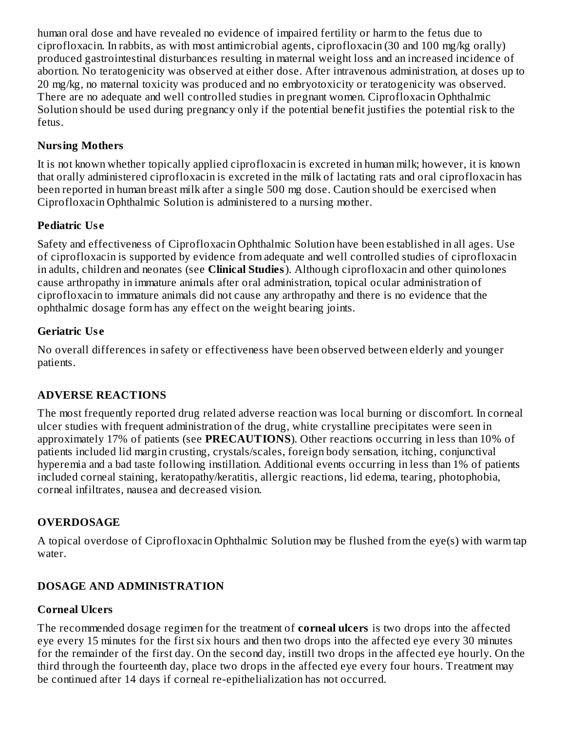human oral dose and have revealed no evidence of impaired fertility or harm to the fetus due to ciprofloxacin. In rabbits, as with most antimicrobial agents, ciprofloxacin (30 and 100 mg/kg orally) produced gastrointestinal disturbances resulting in maternal weight loss and an increased incidence of abortion. No teratogenicity was observed at either dose. After intravenous administration, at doses up to 20 mg/kg, no maternal toxicity was produced and no embryotoxicity or teratogenicity was observed. There are no adequate and well controlled studies in pregnant women. Ciprofloxacin Ophthalmic Solution should be used during pregnancy only if the potential benefit justifies the potential risk to the fetus.

### **Nursing Mothers**

It is not known whether topically applied ciprofloxacin is excreted in human milk; however, it is known that orally administered ciprofloxacin is excreted in the milk of lactating rats and oral ciprofloxacin has been reported in human breast milk after a single 500 mg dose. Caution should be exercised when Ciprofloxacin Ophthalmic Solution is administered to a nursing mother.

## **Pediatric Us e**

Safety and effectiveness of Ciprofloxacin Ophthalmic Solution have been established in all ages. Use of ciprofloxacin is supported by evidence from adequate and well controlled studies of ciprofloxacin in adults, children and neonates (see **Clinical Studies**). Although ciprofloxacin and other quinolones cause arthropathy in immature animals after oral administration, topical ocular administration of ciprofloxacin to immature animals did not cause any arthropathy and there is no evidence that the ophthalmic dosage form has any effect on the weight bearing joints.

### **Geriatric Us e**

No overall differences in safety or effectiveness have been observed between elderly and younger patients.

## **ADVERSE REACTIONS**

The most frequently reported drug related adverse reaction was local burning or discomfort. In corneal ulcer studies with frequent administration of the drug, white crystalline precipitates were seen in approximately 17% of patients (see **PRECAUTIONS**). Other reactions occurring in less than 10% of patients included lid margin crusting, crystals/scales, foreign body sensation, itching, conjunctival hyperemia and a bad taste following instillation. Additional events occurring in less than 1% of patients included corneal staining, keratopathy/keratitis, allergic reactions, lid edema, tearing, photophobia, corneal infiltrates, nausea and decreased vision.

## **OVERDOSAGE**

A topical overdose of Ciprofloxacin Ophthalmic Solution may be flushed from the eye(s) with warm tap water.

## **DOSAGE AND ADMINISTRATION**

### **Corneal Ulcers**

The recommended dosage regimen for the treatment of **corneal ulcers** is two drops into the affected eye every 15 minutes for the first six hours and then two drops into the affected eye every 30 minutes for the remainder of the first day. On the second day, instill two drops in the affected eye hourly. On the third through the fourteenth day, place two drops in the affected eye every four hours. Treatment may be continued after 14 days if corneal re-epithelialization has not occurred.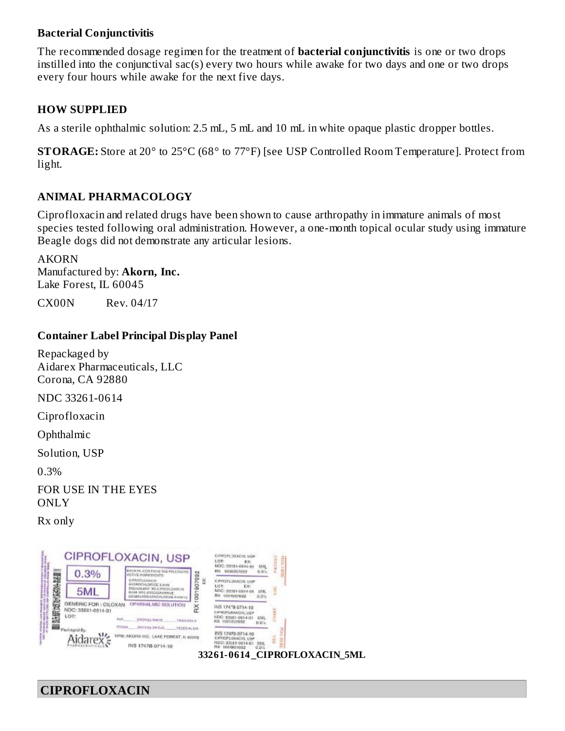#### **Bacterial Conjunctivitis**

The recommended dosage regimen for the treatment of **bacterial conjunctivitis** is one or two drops instilled into the conjunctival sac(s) every two hours while awake for two days and one or two drops every four hours while awake for the next five days.

#### **HOW SUPPLIED**

As a sterile ophthalmic solution: 2.5 mL, 5 mL and 10 mL in white opaque plastic dropper bottles.

**STORAGE:** Store at 20° to 25°C (68° to 77°F) [see USP Controlled Room Temperature]. Protect from light.

### **ANIMAL PHARMACOLOGY**

Ciprofloxacin and related drugs have been shown to cause arthropathy in immature animals of most species tested following oral administration. However, a one-month topical ocular study using immature Beagle dogs did not demonstrate any articular lesions.

AKORN Manufactured by: **Akorn, Inc.** Lake Forest, IL 60045

CX00N Rev. 04/17

#### **Container Label Principal Display Panel**

Repackaged by Aidarex Pharmaceuticals, LLC Corona, CA 92880

NDC 33261-0614

Ciprofloxacin

Ophthalmic

Solution, USP

0.3%

FOR USE IN THE EYES **ONLY** 

Rx only



**33261-0614 \_CIPROFLOXACIN\_5ML**